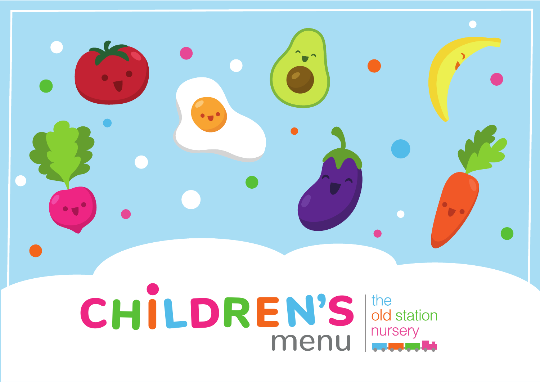